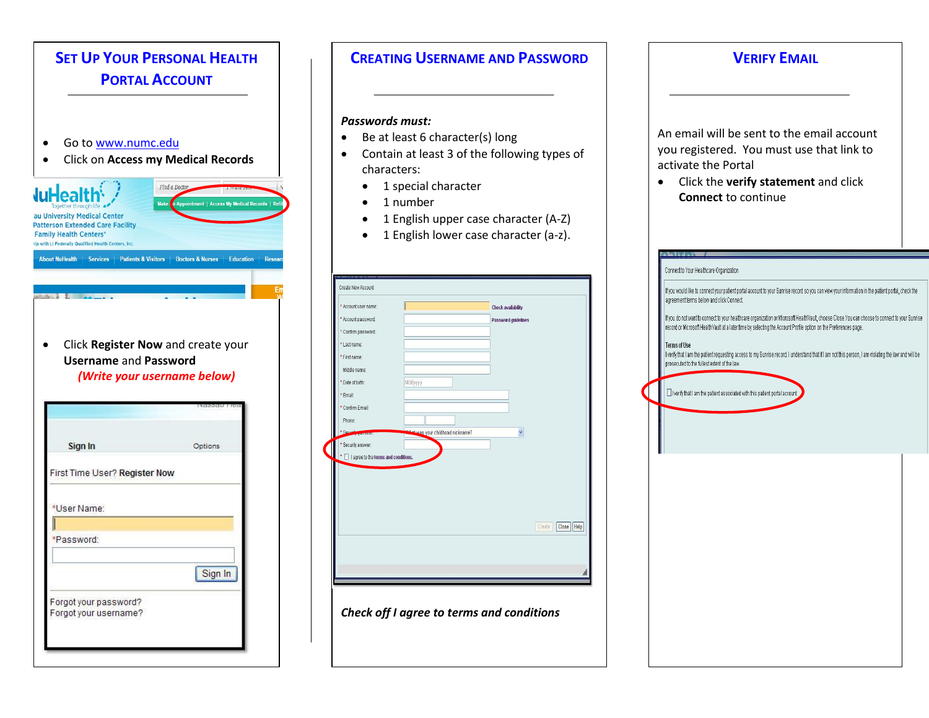

# 1 English upper case character (A-**CREATING USERNAME AND PASSWORD** 1 English lower case character (a-c) and the character (a-c) is considered and the constant of the constant of z). *Passwords must:*  Be at least 6 character(s) long Contain at least 3 of the following types of characters: • 1 special character • 1 number • 1 English upper case character (A-Z) • 1 English lower case character (a-z).

| * Account user name:                   |                                    | Check availability  |  |
|----------------------------------------|------------------------------------|---------------------|--|
| * Account password:                    |                                    | Password guidelines |  |
| * Confirm password:                    |                                    |                     |  |
| * Last name:                           |                                    |                     |  |
| * First name:                          |                                    |                     |  |
| Middle name:                           |                                    |                     |  |
| * Date of birth:                       | Md/yyyy                            |                     |  |
| * Email:                               |                                    |                     |  |
| * Confirm Email:                       |                                    |                     |  |
| Phone:                                 |                                    |                     |  |
| * Security wouldn't                    | Materials your childhood nickname? | $\checkmark$        |  |
| * Security answer:                     |                                    |                     |  |
| * I agree to the terms and conditions. |                                    |                     |  |
|                                        |                                    |                     |  |
|                                        |                                    |                     |  |
|                                        |                                    |                     |  |
|                                        |                                    |                     |  |
|                                        |                                    | Create              |  |
|                                        |                                    | Close   Help        |  |
|                                        |                                    |                     |  |
|                                        |                                    |                     |  |
|                                        |                                    |                     |  |

*Check off I agree to terms and conditions*

## **VERIFY EMAIL** An email will be sent to the email account you registered. You must use that link to activate the Portal Click the **verify statement** and click **Connect** to continue

*Tale lide* 

| Connect to Your Healthcare Organization                                                                                                                                                                                                                            |  |
|--------------------------------------------------------------------------------------------------------------------------------------------------------------------------------------------------------------------------------------------------------------------|--|
| If you would like to connect your patient portal account to your Sunrise record so you can view your information in the patient portal, check the<br>agreement terms below and click Connect.                                                                      |  |
| If you do not want to connect to your healthcare organization or Microsoft HealthVault, choose Close.You can choose to connect to your Sunrise<br>record or Microsoft HealthVault at a later time by selecting the Account Profile option on the Preferences page. |  |
| <b>Terms of Use</b><br>I verify that I am the patient requesting access to my Sunrise record. I understand that if I am not this person, I am violating the law and will be<br>prosecuted to the fullest extent of the law.                                        |  |
|                                                                                                                                                                                                                                                                    |  |
| I verify that I am the patient associated with this patient portal account                                                                                                                                                                                         |  |
|                                                                                                                                                                                                                                                                    |  |